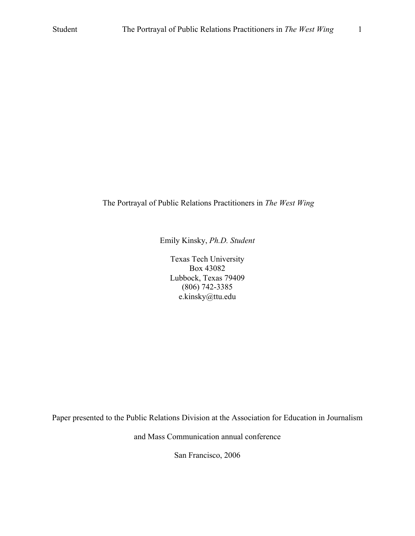# The Portrayal of Public Relations Practitioners in *The West Wing*

Emily Kinsky, *Ph.D. Student*

Texas Tech University Box 43082 Lubbock, Texas 79409 (806) 742-3385 e.kinsky@ttu.edu

Paper presented to the Public Relations Division at the Association for Education in Journalism

and Mass Communication annual conference

San Francisco, 2006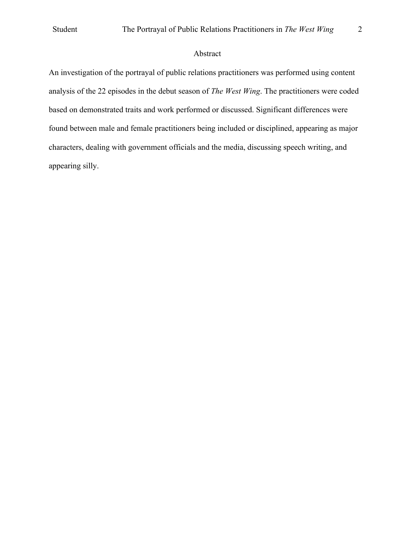# Abstract

An investigation of the portrayal of public relations practitioners was performed using content analysis of the 22 episodes in the debut season of *The West Wing*. The practitioners were coded based on demonstrated traits and work performed or discussed. Significant differences were found between male and female practitioners being included or disciplined, appearing as major characters, dealing with government officials and the media, discussing speech writing, and appearing silly.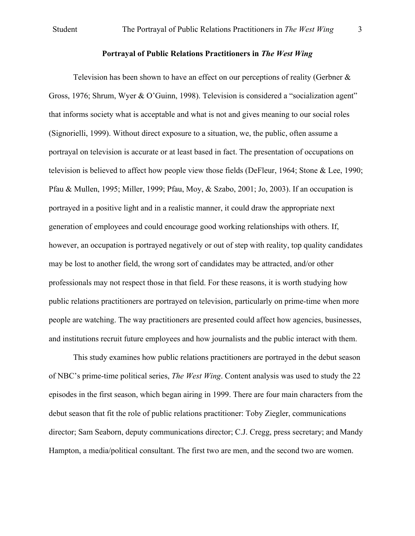# **Portrayal of Public Relations Practitioners in** *The West Wing*

Television has been shown to have an effect on our perceptions of reality (Gerbner & Gross, 1976; Shrum, Wyer & O'Guinn, 1998). Television is considered a "socialization agent" that informs society what is acceptable and what is not and gives meaning to our social roles (Signorielli, 1999). Without direct exposure to a situation, we, the public, often assume a portrayal on television is accurate or at least based in fact. The presentation of occupations on television is believed to affect how people view those fields (DeFleur, 1964; Stone & Lee, 1990; Pfau & Mullen, 1995; Miller, 1999; Pfau, Moy, & Szabo, 2001; Jo, 2003). If an occupation is portrayed in a positive light and in a realistic manner, it could draw the appropriate next generation of employees and could encourage good working relationships with others. If, however, an occupation is portrayed negatively or out of step with reality, top quality candidates may be lost to another field, the wrong sort of candidates may be attracted, and/or other professionals may not respect those in that field. For these reasons, it is worth studying how public relations practitioners are portrayed on television, particularly on prime-time when more people are watching. The way practitioners are presented could affect how agencies, businesses, and institutions recruit future employees and how journalists and the public interact with them.

This study examines how public relations practitioners are portrayed in the debut season of NBC's prime-time political series, *The West Wing*. Content analysis was used to study the 22 episodes in the first season, which began airing in 1999. There are four main characters from the debut season that fit the role of public relations practitioner: Toby Ziegler, communications director; Sam Seaborn, deputy communications director; C.J. Cregg, press secretary; and Mandy Hampton, a media/political consultant. The first two are men, and the second two are women.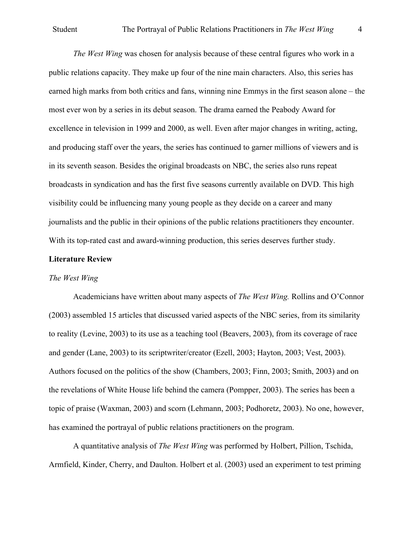*The West Wing* was chosen for analysis because of these central figures who work in a public relations capacity. They make up four of the nine main characters. Also, this series has earned high marks from both critics and fans, winning nine Emmys in the first season alone – the most ever won by a series in its debut season. The drama earned the Peabody Award for excellence in television in 1999 and 2000, as well. Even after major changes in writing, acting, and producing staff over the years, the series has continued to garner millions of viewers and is in its seventh season. Besides the original broadcasts on NBC, the series also runs repeat broadcasts in syndication and has the first five seasons currently available on DVD. This high visibility could be influencing many young people as they decide on a career and many journalists and the public in their opinions of the public relations practitioners they encounter. With its top-rated cast and award-winning production, this series deserves further study.

### **Literature Review**

### *The West Wing*

Academicians have written about many aspects of *The West Wing.* Rollins and O'Connor (2003) assembled 15 articles that discussed varied aspects of the NBC series, from its similarity to reality (Levine, 2003) to its use as a teaching tool (Beavers, 2003), from its coverage of race and gender (Lane, 2003) to its scriptwriter/creator (Ezell, 2003; Hayton, 2003; Vest, 2003). Authors focused on the politics of the show (Chambers, 2003; Finn, 2003; Smith, 2003) and on the revelations of White House life behind the camera (Pompper, 2003). The series has been a topic of praise (Waxman, 2003) and scorn (Lehmann, 2003; Podhoretz, 2003). No one, however, has examined the portrayal of public relations practitioners on the program.

A quantitative analysis of *The West Wing* was performed by Holbert, Pillion, Tschida, Armfield, Kinder, Cherry, and Daulton. Holbert et al. (2003) used an experiment to test priming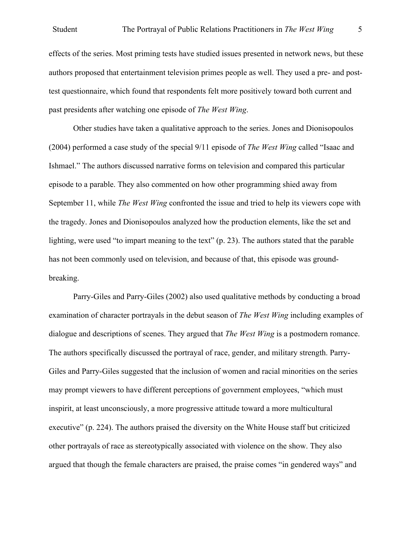effects of the series. Most priming tests have studied issues presented in network news, but these authors proposed that entertainment television primes people as well. They used a pre- and posttest questionnaire, which found that respondents felt more positively toward both current and past presidents after watching one episode of *The West Wing*.

Other studies have taken a qualitative approach to the series. Jones and Dionisopoulos (2004) performed a case study of the special 9/11 episode of *The West Wing* called "Isaac and Ishmael." The authors discussed narrative forms on television and compared this particular episode to a parable. They also commented on how other programming shied away from September 11, while *The West Wing* confronted the issue and tried to help its viewers cope with the tragedy. Jones and Dionisopoulos analyzed how the production elements, like the set and lighting, were used "to impart meaning to the text" (p. 23). The authors stated that the parable has not been commonly used on television, and because of that, this episode was groundbreaking.

Parry-Giles and Parry-Giles (2002) also used qualitative methods by conducting a broad examination of character portrayals in the debut season of *The West Wing* including examples of dialogue and descriptions of scenes. They argued that *The West Wing* is a postmodern romance. The authors specifically discussed the portrayal of race, gender, and military strength. Parry-Giles and Parry-Giles suggested that the inclusion of women and racial minorities on the series may prompt viewers to have different perceptions of government employees, "which must inspirit, at least unconsciously, a more progressive attitude toward a more multicultural executive" (p. 224). The authors praised the diversity on the White House staff but criticized other portrayals of race as stereotypically associated with violence on the show. They also argued that though the female characters are praised, the praise comes "in gendered ways" and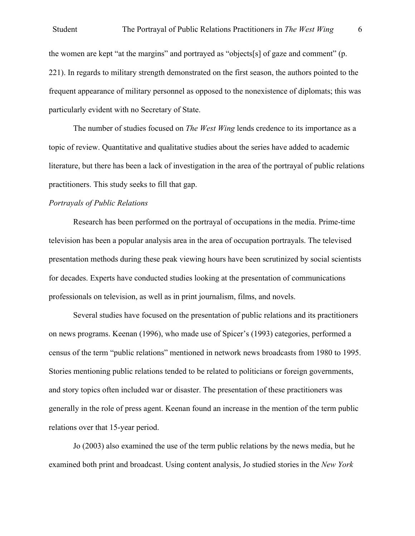### Student The Portrayal of Public Relations Practitioners in *The West Wing* 6

the women are kept "at the margins" and portrayed as "objects[s] of gaze and comment" (p. 221). In regards to military strength demonstrated on the first season, the authors pointed to the frequent appearance of military personnel as opposed to the nonexistence of diplomats; this was particularly evident with no Secretary of State.

The number of studies focused on *The West Wing* lends credence to its importance as a topic of review. Quantitative and qualitative studies about the series have added to academic literature, but there has been a lack of investigation in the area of the portrayal of public relations practitioners. This study seeks to fill that gap.

### *Portrayals of Public Relations*

Research has been performed on the portrayal of occupations in the media. Prime-time television has been a popular analysis area in the area of occupation portrayals. The televised presentation methods during these peak viewing hours have been scrutinized by social scientists for decades. Experts have conducted studies looking at the presentation of communications professionals on television, as well as in print journalism, films, and novels.

Several studies have focused on the presentation of public relations and its practitioners on news programs. Keenan (1996), who made use of Spicer's (1993) categories, performed a census of the term "public relations" mentioned in network news broadcasts from 1980 to 1995. Stories mentioning public relations tended to be related to politicians or foreign governments, and story topics often included war or disaster. The presentation of these practitioners was generally in the role of press agent. Keenan found an increase in the mention of the term public relations over that 15-year period.

Jo (2003) also examined the use of the term public relations by the news media, but he examined both print and broadcast. Using content analysis, Jo studied stories in the *New York*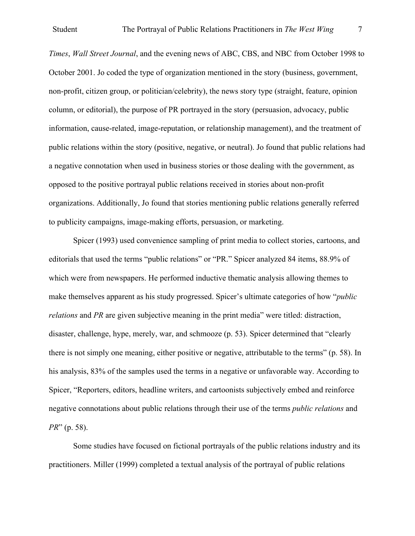*Times*, *Wall Street Journal*, and the evening news of ABC, CBS, and NBC from October 1998 to October 2001. Jo coded the type of organization mentioned in the story (business, government, non-profit, citizen group, or politician/celebrity), the news story type (straight, feature, opinion column, or editorial), the purpose of PR portrayed in the story (persuasion, advocacy, public information, cause-related, image-reputation, or relationship management), and the treatment of public relations within the story (positive, negative, or neutral). Jo found that public relations had a negative connotation when used in business stories or those dealing with the government, as opposed to the positive portrayal public relations received in stories about non-profit organizations. Additionally, Jo found that stories mentioning public relations generally referred to publicity campaigns, image-making efforts, persuasion, or marketing.

Spicer (1993) used convenience sampling of print media to collect stories, cartoons, and editorials that used the terms "public relations" or "PR." Spicer analyzed 84 items, 88.9% of which were from newspapers. He performed inductive thematic analysis allowing themes to make themselves apparent as his study progressed. Spicer's ultimate categories of how "*public relations* and *PR* are given subjective meaning in the print media" were titled: distraction, disaster, challenge, hype, merely, war, and schmooze (p. 53). Spicer determined that "clearly there is not simply one meaning, either positive or negative, attributable to the terms" (p. 58). In his analysis, 83% of the samples used the terms in a negative or unfavorable way. According to Spicer, "Reporters, editors, headline writers, and cartoonists subjectively embed and reinforce negative connotations about public relations through their use of the terms *public relations* and *PR*" (p. 58).

Some studies have focused on fictional portrayals of the public relations industry and its practitioners. Miller (1999) completed a textual analysis of the portrayal of public relations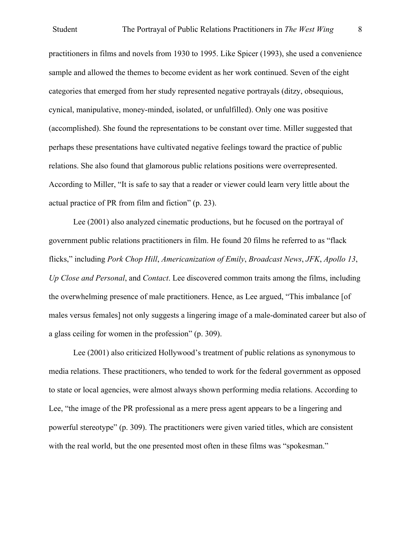practitioners in films and novels from 1930 to 1995. Like Spicer (1993), she used a convenience sample and allowed the themes to become evident as her work continued. Seven of the eight categories that emerged from her study represented negative portrayals (ditzy, obsequious, cynical, manipulative, money-minded, isolated, or unfulfilled). Only one was positive (accomplished). She found the representations to be constant over time. Miller suggested that perhaps these presentations have cultivated negative feelings toward the practice of public relations. She also found that glamorous public relations positions were overrepresented. According to Miller, "It is safe to say that a reader or viewer could learn very little about the actual practice of PR from film and fiction" (p. 23).

Lee (2001) also analyzed cinematic productions, but he focused on the portrayal of government public relations practitioners in film. He found 20 films he referred to as "flack flicks," including *Pork Chop Hill*, *Americanization of Emily*, *Broadcast News*, *JFK*, *Apollo 13*, *Up Close and Personal*, and *Contact*. Lee discovered common traits among the films, including the overwhelming presence of male practitioners. Hence, as Lee argued, "This imbalance [of males versus females] not only suggests a lingering image of a male-dominated career but also of a glass ceiling for women in the profession" (p. 309).

Lee (2001) also criticized Hollywood's treatment of public relations as synonymous to media relations. These practitioners, who tended to work for the federal government as opposed to state or local agencies, were almost always shown performing media relations. According to Lee, "the image of the PR professional as a mere press agent appears to be a lingering and powerful stereotype" (p. 309). The practitioners were given varied titles, which are consistent with the real world, but the one presented most often in these films was "spokesman."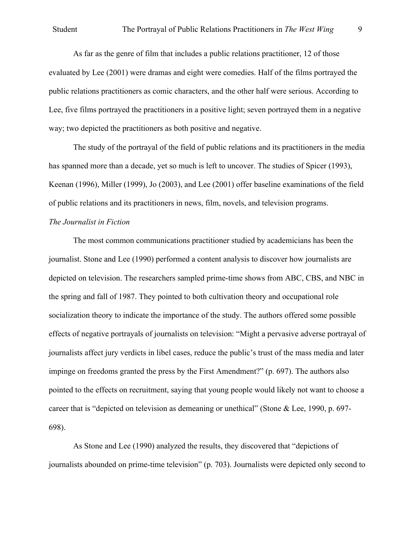As far as the genre of film that includes a public relations practitioner, 12 of those evaluated by Lee (2001) were dramas and eight were comedies. Half of the films portrayed the public relations practitioners as comic characters, and the other half were serious. According to Lee, five films portrayed the practitioners in a positive light; seven portrayed them in a negative way; two depicted the practitioners as both positive and negative.

The study of the portrayal of the field of public relations and its practitioners in the media has spanned more than a decade, yet so much is left to uncover. The studies of Spicer (1993), Keenan (1996), Miller (1999), Jo (2003), and Lee (2001) offer baseline examinations of the field of public relations and its practitioners in news, film, novels, and television programs.

# *The Journalist in Fiction*

The most common communications practitioner studied by academicians has been the journalist. Stone and Lee (1990) performed a content analysis to discover how journalists are depicted on television. The researchers sampled prime-time shows from ABC, CBS, and NBC in the spring and fall of 1987. They pointed to both cultivation theory and occupational role socialization theory to indicate the importance of the study. The authors offered some possible effects of negative portrayals of journalists on television: "Might a pervasive adverse portrayal of journalists affect jury verdicts in libel cases, reduce the public's trust of the mass media and later impinge on freedoms granted the press by the First Amendment?" (p. 697). The authors also pointed to the effects on recruitment, saying that young people would likely not want to choose a career that is "depicted on television as demeaning or unethical" (Stone & Lee, 1990, p. 697- 698).

As Stone and Lee (1990) analyzed the results, they discovered that "depictions of journalists abounded on prime-time television" (p. 703). Journalists were depicted only second to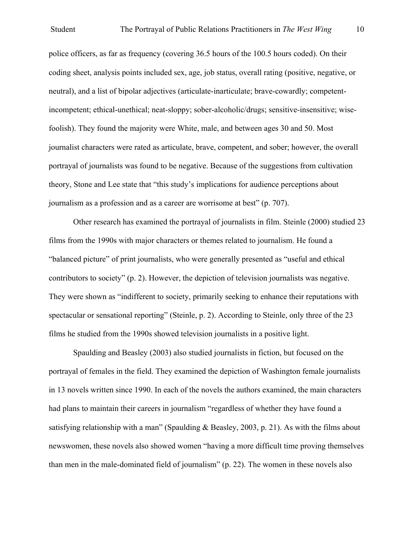police officers, as far as frequency (covering 36.5 hours of the 100.5 hours coded). On their coding sheet, analysis points included sex, age, job status, overall rating (positive, negative, or neutral), and a list of bipolar adjectives (articulate-inarticulate; brave-cowardly; competentincompetent; ethical-unethical; neat-sloppy; sober-alcoholic/drugs; sensitive-insensitive; wisefoolish). They found the majority were White, male, and between ages 30 and 50. Most journalist characters were rated as articulate, brave, competent, and sober; however, the overall portrayal of journalists was found to be negative. Because of the suggestions from cultivation theory, Stone and Lee state that "this study's implications for audience perceptions about journalism as a profession and as a career are worrisome at best" (p. 707).

Other research has examined the portrayal of journalists in film. Steinle (2000) studied 23 films from the 1990s with major characters or themes related to journalism. He found a "balanced picture" of print journalists, who were generally presented as "useful and ethical contributors to society" (p. 2). However, the depiction of television journalists was negative. They were shown as "indifferent to society, primarily seeking to enhance their reputations with spectacular or sensational reporting" (Steinle, p. 2). According to Steinle, only three of the 23 films he studied from the 1990s showed television journalists in a positive light.

Spaulding and Beasley (2003) also studied journalists in fiction, but focused on the portrayal of females in the field. They examined the depiction of Washington female journalists in 13 novels written since 1990. In each of the novels the authors examined, the main characters had plans to maintain their careers in journalism "regardless of whether they have found a satisfying relationship with a man" (Spaulding & Beasley, 2003, p. 21). As with the films about newswomen, these novels also showed women "having a more difficult time proving themselves than men in the male-dominated field of journalism" (p. 22). The women in these novels also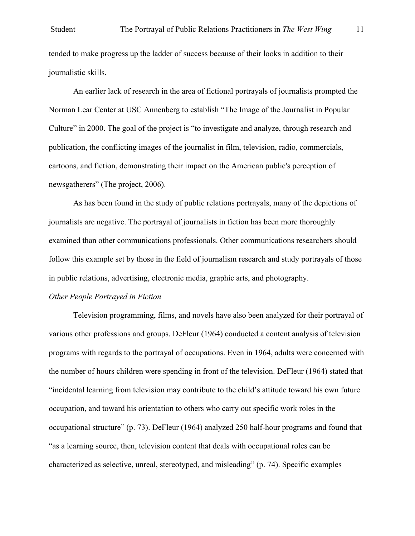tended to make progress up the ladder of success because of their looks in addition to their journalistic skills.

An earlier lack of research in the area of fictional portrayals of journalists prompted the Norman Lear Center at USC Annenberg to establish "The Image of the Journalist in Popular Culture" in 2000. The goal of the project is "to investigate and analyze, through research and publication, the conflicting images of the journalist in film, television, radio, commercials, cartoons, and fiction, demonstrating their impact on the American public's perception of newsgatherers" (The project, 2006).

As has been found in the study of public relations portrayals, many of the depictions of journalists are negative. The portrayal of journalists in fiction has been more thoroughly examined than other communications professionals. Other communications researchers should follow this example set by those in the field of journalism research and study portrayals of those in public relations, advertising, electronic media, graphic arts, and photography.

## *Other People Portrayed in Fiction*

Television programming, films, and novels have also been analyzed for their portrayal of various other professions and groups. DeFleur (1964) conducted a content analysis of television programs with regards to the portrayal of occupations. Even in 1964, adults were concerned with the number of hours children were spending in front of the television. DeFleur (1964) stated that "incidental learning from television may contribute to the child's attitude toward his own future occupation, and toward his orientation to others who carry out specific work roles in the occupational structure" (p. 73). DeFleur (1964) analyzed 250 half-hour programs and found that "as a learning source, then, television content that deals with occupational roles can be characterized as selective, unreal, stereotyped, and misleading" (p. 74). Specific examples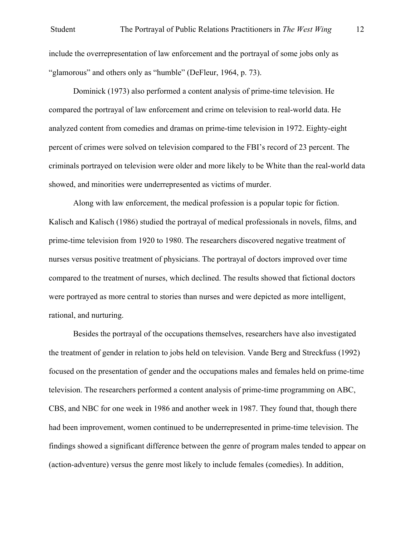include the overrepresentation of law enforcement and the portrayal of some jobs only as "glamorous" and others only as "humble" (DeFleur, 1964, p. 73).

Dominick (1973) also performed a content analysis of prime-time television. He compared the portrayal of law enforcement and crime on television to real-world data. He analyzed content from comedies and dramas on prime-time television in 1972. Eighty-eight percent of crimes were solved on television compared to the FBI's record of 23 percent. The criminals portrayed on television were older and more likely to be White than the real-world data showed, and minorities were underrepresented as victims of murder.

Along with law enforcement, the medical profession is a popular topic for fiction. Kalisch and Kalisch (1986) studied the portrayal of medical professionals in novels, films, and prime-time television from 1920 to 1980. The researchers discovered negative treatment of nurses versus positive treatment of physicians. The portrayal of doctors improved over time compared to the treatment of nurses, which declined. The results showed that fictional doctors were portrayed as more central to stories than nurses and were depicted as more intelligent, rational, and nurturing.

Besides the portrayal of the occupations themselves, researchers have also investigated the treatment of gender in relation to jobs held on television. Vande Berg and Streckfuss (1992) focused on the presentation of gender and the occupations males and females held on prime-time television. The researchers performed a content analysis of prime-time programming on ABC, CBS, and NBC for one week in 1986 and another week in 1987. They found that, though there had been improvement, women continued to be underrepresented in prime-time television. The findings showed a significant difference between the genre of program males tended to appear on (action-adventure) versus the genre most likely to include females (comedies). In addition,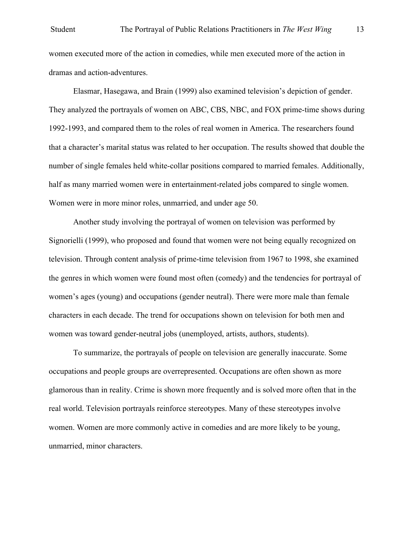women executed more of the action in comedies, while men executed more of the action in dramas and action-adventures.

Elasmar, Hasegawa, and Brain (1999) also examined television's depiction of gender. They analyzed the portrayals of women on ABC, CBS, NBC, and FOX prime-time shows during 1992-1993, and compared them to the roles of real women in America. The researchers found that a character's marital status was related to her occupation. The results showed that double the number of single females held white-collar positions compared to married females. Additionally, half as many married women were in entertainment-related jobs compared to single women. Women were in more minor roles, unmarried, and under age 50.

Another study involving the portrayal of women on television was performed by Signorielli (1999), who proposed and found that women were not being equally recognized on television. Through content analysis of prime-time television from 1967 to 1998, she examined the genres in which women were found most often (comedy) and the tendencies for portrayal of women's ages (young) and occupations (gender neutral). There were more male than female characters in each decade. The trend for occupations shown on television for both men and women was toward gender-neutral jobs (unemployed, artists, authors, students).

To summarize, the portrayals of people on television are generally inaccurate. Some occupations and people groups are overrepresented. Occupations are often shown as more glamorous than in reality. Crime is shown more frequently and is solved more often that in the real world. Television portrayals reinforce stereotypes. Many of these stereotypes involve women. Women are more commonly active in comedies and are more likely to be young, unmarried, minor characters.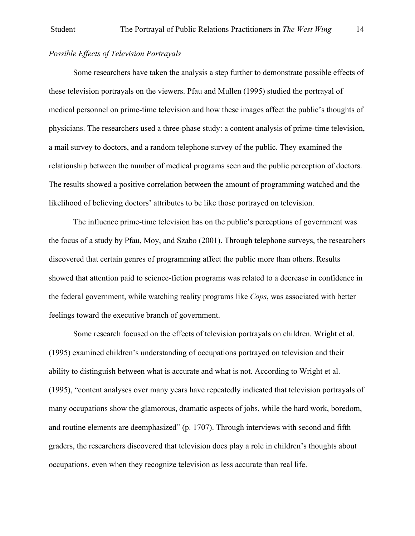# *Possible Effects of Television Portrayals*

Some researchers have taken the analysis a step further to demonstrate possible effects of these television portrayals on the viewers. Pfau and Mullen (1995) studied the portrayal of medical personnel on prime-time television and how these images affect the public's thoughts of physicians. The researchers used a three-phase study: a content analysis of prime-time television, a mail survey to doctors, and a random telephone survey of the public. They examined the relationship between the number of medical programs seen and the public perception of doctors. The results showed a positive correlation between the amount of programming watched and the likelihood of believing doctors' attributes to be like those portrayed on television.

The influence prime-time television has on the public's perceptions of government was the focus of a study by Pfau, Moy, and Szabo (2001). Through telephone surveys, the researchers discovered that certain genres of programming affect the public more than others. Results showed that attention paid to science-fiction programs was related to a decrease in confidence in the federal government, while watching reality programs like *Cops*, was associated with better feelings toward the executive branch of government.

Some research focused on the effects of television portrayals on children. Wright et al. (1995) examined children's understanding of occupations portrayed on television and their ability to distinguish between what is accurate and what is not. According to Wright et al. (1995), "content analyses over many years have repeatedly indicated that television portrayals of many occupations show the glamorous, dramatic aspects of jobs, while the hard work, boredom, and routine elements are deemphasized" (p. 1707). Through interviews with second and fifth graders, the researchers discovered that television does play a role in children's thoughts about occupations, even when they recognize television as less accurate than real life.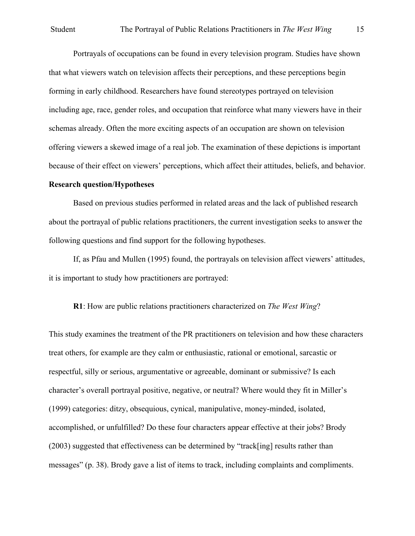Portrayals of occupations can be found in every television program. Studies have shown that what viewers watch on television affects their perceptions, and these perceptions begin forming in early childhood. Researchers have found stereotypes portrayed on television including age, race, gender roles, and occupation that reinforce what many viewers have in their schemas already. Often the more exciting aspects of an occupation are shown on television offering viewers a skewed image of a real job. The examination of these depictions is important because of their effect on viewers' perceptions, which affect their attitudes, beliefs, and behavior.

## **Research question/Hypotheses**

Based on previous studies performed in related areas and the lack of published research about the portrayal of public relations practitioners, the current investigation seeks to answer the following questions and find support for the following hypotheses.

If, as Pfau and Mullen (1995) found, the portrayals on television affect viewers' attitudes, it is important to study how practitioners are portrayed:

# **R1**: How are public relations practitioners characterized on *The West Wing*?

This study examines the treatment of the PR practitioners on television and how these characters treat others, for example are they calm or enthusiastic, rational or emotional, sarcastic or respectful, silly or serious, argumentative or agreeable, dominant or submissive? Is each character's overall portrayal positive, negative, or neutral? Where would they fit in Miller's (1999) categories: ditzy, obsequious, cynical, manipulative, money-minded, isolated, accomplished, or unfulfilled? Do these four characters appear effective at their jobs? Brody (2003) suggested that effectiveness can be determined by "track[ing] results rather than messages" (p. 38). Brody gave a list of items to track, including complaints and compliments.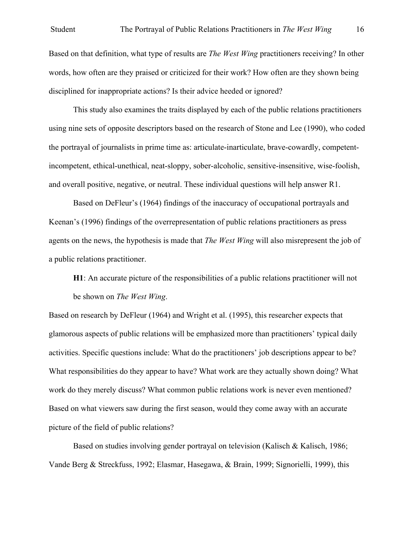### Student The Portrayal of Public Relations Practitioners in *The West Wing* 16

Based on that definition, what type of results are *The West Wing* practitioners receiving? In other words, how often are they praised or criticized for their work? How often are they shown being disciplined for inappropriate actions? Is their advice heeded or ignored?

This study also examines the traits displayed by each of the public relations practitioners using nine sets of opposite descriptors based on the research of Stone and Lee (1990), who coded the portrayal of journalists in prime time as: articulate-inarticulate, brave-cowardly, competentincompetent, ethical-unethical, neat-sloppy, sober-alcoholic, sensitive-insensitive, wise-foolish, and overall positive, negative, or neutral. These individual questions will help answer R1.

Based on DeFleur's (1964) findings of the inaccuracy of occupational portrayals and Keenan's (1996) findings of the overrepresentation of public relations practitioners as press agents on the news, the hypothesis is made that *The West Wing* will also misrepresent the job of a public relations practitioner.

**H1**: An accurate picture of the responsibilities of a public relations practitioner will not be shown on *The West Wing*.

Based on research by DeFleur (1964) and Wright et al. (1995), this researcher expects that glamorous aspects of public relations will be emphasized more than practitioners' typical daily activities. Specific questions include: What do the practitioners' job descriptions appear to be? What responsibilities do they appear to have? What work are they actually shown doing? What work do they merely discuss? What common public relations work is never even mentioned? Based on what viewers saw during the first season, would they come away with an accurate picture of the field of public relations?

Based on studies involving gender portrayal on television (Kalisch & Kalisch, 1986; Vande Berg & Streckfuss, 1992; Elasmar, Hasegawa, & Brain, 1999; Signorielli, 1999), this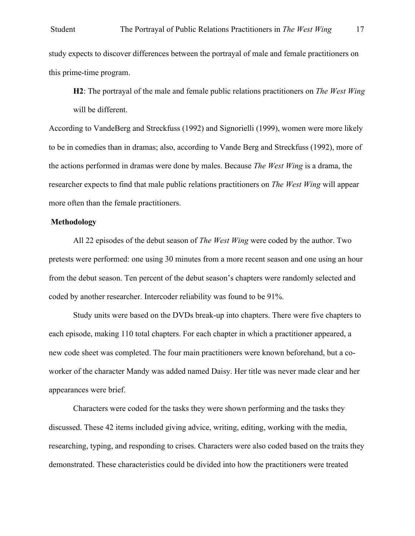study expects to discover differences between the portrayal of male and female practitioners on this prime-time program.

**H2**: The portrayal of the male and female public relations practitioners on *The West Wing* will be different.

According to VandeBerg and Streckfuss (1992) and Signorielli (1999), women were more likely to be in comedies than in dramas; also, according to Vande Berg and Streckfuss (1992), more of the actions performed in dramas were done by males. Because *The West Wing* is a drama, the researcher expects to find that male public relations practitioners on *The West Wing* will appear more often than the female practitioners.

## **Methodology**

All 22 episodes of the debut season of *The West Wing* were coded by the author. Two pretests were performed: one using 30 minutes from a more recent season and one using an hour from the debut season. Ten percent of the debut season's chapters were randomly selected and coded by another researcher. Intercoder reliability was found to be 91%.

Study units were based on the DVDs break-up into chapters. There were five chapters to each episode, making 110 total chapters. For each chapter in which a practitioner appeared, a new code sheet was completed. The four main practitioners were known beforehand, but a coworker of the character Mandy was added named Daisy. Her title was never made clear and her appearances were brief.

Characters were coded for the tasks they were shown performing and the tasks they discussed. These 42 items included giving advice, writing, editing, working with the media, researching, typing, and responding to crises. Characters were also coded based on the traits they demonstrated. These characteristics could be divided into how the practitioners were treated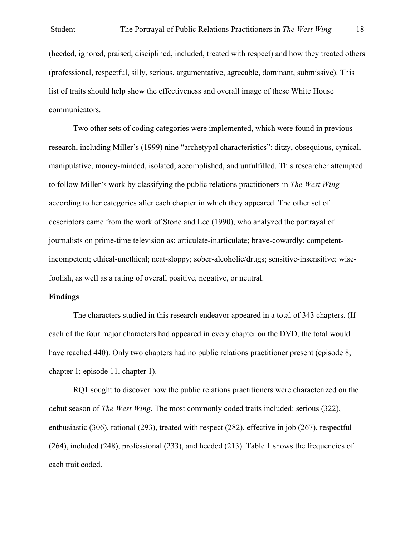(heeded, ignored, praised, disciplined, included, treated with respect) and how they treated others (professional, respectful, silly, serious, argumentative, agreeable, dominant, submissive). This list of traits should help show the effectiveness and overall image of these White House communicators.

Two other sets of coding categories were implemented, which were found in previous research, including Miller's (1999) nine "archetypal characteristics": ditzy, obsequious, cynical, manipulative, money-minded, isolated, accomplished, and unfulfilled. This researcher attempted to follow Miller's work by classifying the public relations practitioners in *The West Wing* according to her categories after each chapter in which they appeared. The other set of descriptors came from the work of Stone and Lee (1990), who analyzed the portrayal of journalists on prime-time television as: articulate-inarticulate; brave-cowardly; competentincompetent; ethical-unethical; neat-sloppy; sober-alcoholic/drugs; sensitive-insensitive; wisefoolish, as well as a rating of overall positive, negative, or neutral.

### **Findings**

The characters studied in this research endeavor appeared in a total of 343 chapters. (If each of the four major characters had appeared in every chapter on the DVD, the total would have reached 440). Only two chapters had no public relations practitioner present (episode 8, chapter 1; episode 11, chapter 1).

RQ1 sought to discover how the public relations practitioners were characterized on the debut season of *The West Wing*. The most commonly coded traits included: serious (322), enthusiastic (306), rational (293), treated with respect (282), effective in job (267), respectful (264), included (248), professional (233), and heeded (213). Table 1 shows the frequencies of each trait coded.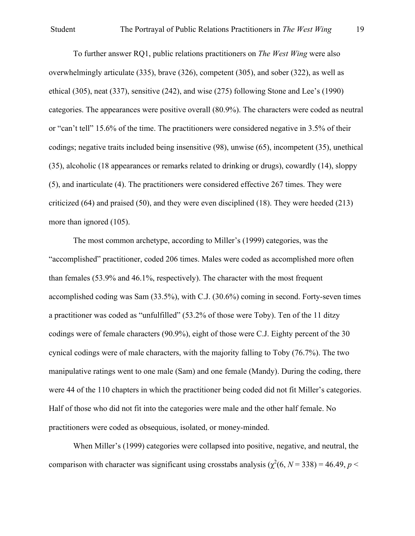# Student The Portrayal of Public Relations Practitioners in *The West Wing* 19

To further answer RQ1, public relations practitioners on *The West Wing* were also overwhelmingly articulate (335), brave (326), competent (305), and sober (322), as well as ethical (305), neat (337), sensitive (242), and wise (275) following Stone and Lee's (1990) categories. The appearances were positive overall (80.9%). The characters were coded as neutral or "can't tell" 15.6% of the time. The practitioners were considered negative in 3.5% of their codings; negative traits included being insensitive (98), unwise (65), incompetent (35), unethical (35), alcoholic (18 appearances or remarks related to drinking or drugs), cowardly (14), sloppy (5), and inarticulate (4). The practitioners were considered effective 267 times. They were criticized (64) and praised (50), and they were even disciplined (18). They were heeded (213) more than ignored  $(105)$ .

The most common archetype, according to Miller's (1999) categories, was the "accomplished" practitioner, coded 206 times. Males were coded as accomplished more often than females (53.9% and 46.1%, respectively). The character with the most frequent accomplished coding was Sam (33.5%), with C.J. (30.6%) coming in second. Forty-seven times a practitioner was coded as "unfulfilled" (53.2% of those were Toby). Ten of the 11 ditzy codings were of female characters (90.9%), eight of those were C.J. Eighty percent of the 30 cynical codings were of male characters, with the majority falling to Toby (76.7%). The two manipulative ratings went to one male (Sam) and one female (Mandy). During the coding, there were 44 of the 110 chapters in which the practitioner being coded did not fit Miller's categories. Half of those who did not fit into the categories were male and the other half female. No practitioners were coded as obsequious, isolated, or money-minded.

When Miller's (1999) categories were collapsed into positive, negative, and neutral, the comparison with character was significant using crosstabs analysis ( $\chi^2(6, N = 338) = 46.49$ ,  $p <$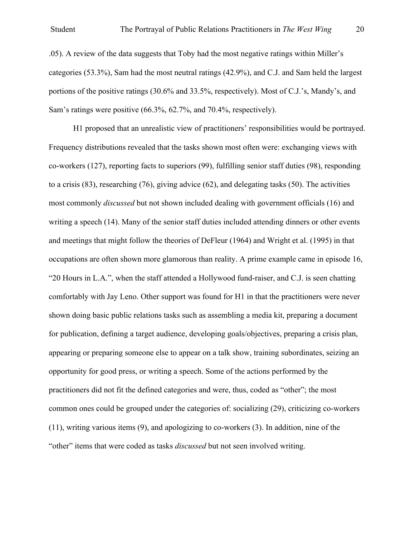.05). A review of the data suggests that Toby had the most negative ratings within Miller's categories (53.3%), Sam had the most neutral ratings (42.9%), and C.J. and Sam held the largest portions of the positive ratings (30.6% and 33.5%, respectively). Most of C.J.'s, Mandy's, and Sam's ratings were positive (66.3%, 62.7%, and 70.4%, respectively).

H1 proposed that an unrealistic view of practitioners' responsibilities would be portrayed. Frequency distributions revealed that the tasks shown most often were: exchanging views with co-workers (127), reporting facts to superiors (99), fulfilling senior staff duties (98), responding to a crisis (83), researching (76), giving advice (62), and delegating tasks (50). The activities most commonly *discussed* but not shown included dealing with government officials (16) and writing a speech (14). Many of the senior staff duties included attending dinners or other events and meetings that might follow the theories of DeFleur (1964) and Wright et al. (1995) in that occupations are often shown more glamorous than reality. A prime example came in episode 16, "20 Hours in L.A.", when the staff attended a Hollywood fund-raiser, and C.J. is seen chatting comfortably with Jay Leno. Other support was found for H1 in that the practitioners were never shown doing basic public relations tasks such as assembling a media kit, preparing a document for publication, defining a target audience, developing goals/objectives, preparing a crisis plan, appearing or preparing someone else to appear on a talk show, training subordinates, seizing an opportunity for good press, or writing a speech. Some of the actions performed by the practitioners did not fit the defined categories and were, thus, coded as "other"; the most common ones could be grouped under the categories of: socializing (29), criticizing co-workers (11), writing various items (9), and apologizing to co-workers (3). In addition, nine of the "other" items that were coded as tasks *discussed* but not seen involved writing.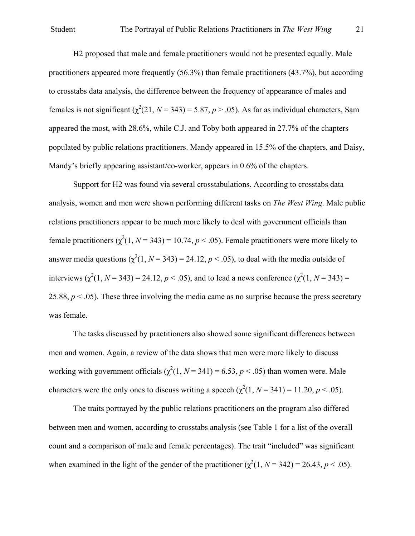H2 proposed that male and female practitioners would not be presented equally. Male practitioners appeared more frequently (56.3%) than female practitioners (43.7%), but according to crosstabs data analysis, the difference between the frequency of appearance of males and females is not significant  $(\chi^2(21, N=343) = 5.87, p > .05)$ . As far as individual characters, Sam appeared the most, with 28.6%, while C.J. and Toby both appeared in 27.7% of the chapters populated by public relations practitioners. Mandy appeared in 15.5% of the chapters, and Daisy, Mandy's briefly appearing assistant/co-worker, appears in  $0.6\%$  of the chapters.

Support for H2 was found via several crosstabulations. According to crosstabs data analysis, women and men were shown performing different tasks on *The West Wing*. Male public relations practitioners appear to be much more likely to deal with government officials than female practitioners  $(\chi^2(1, N = 343) = 10.74, p < .05)$ . Female practitioners were more likely to answer media questions  $(\chi^2(1, N = 343) = 24.12, p < .05)$ , to deal with the media outside of interviews  $(\chi^2(1, N = 343) = 24.12, p < .05)$ , and to lead a news conference  $(\chi^2(1, N = 343)) =$ 25.88,  $p < .05$ ). These three involving the media came as no surprise because the press secretary was female.

The tasks discussed by practitioners also showed some significant differences between men and women. Again, a review of the data shows that men were more likely to discuss working with government officials  $(\chi^2(1, N = 341) = 6.53, p < .05)$  than women were. Male characters were the only ones to discuss writing a speech  $(\chi^2(1, N = 341) = 11.20, p < .05)$ .

The traits portrayed by the public relations practitioners on the program also differed between men and women, according to crosstabs analysis (see Table 1 for a list of the overall count and a comparison of male and female percentages). The trait "included" was significant when examined in the light of the gender of the practitioner  $(\chi^2(1, N = 342) = 26.43, p < .05)$ .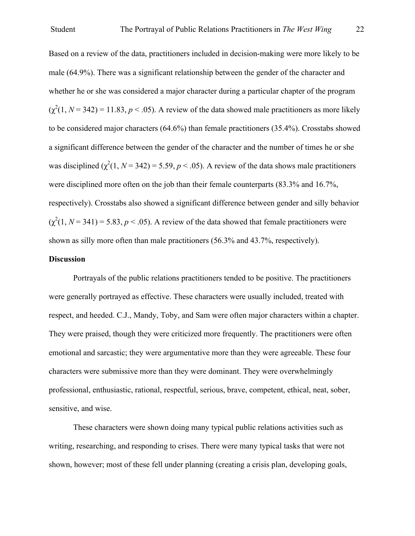Based on a review of the data, practitioners included in decision-making were more likely to be male (64.9%). There was a significant relationship between the gender of the character and whether he or she was considered a major character during a particular chapter of the program  $(\chi^2(1, N = 342) = 11.83, p < .05)$ . A review of the data showed male practitioners as more likely to be considered major characters (64.6%) than female practitioners (35.4%). Crosstabs showed a significant difference between the gender of the character and the number of times he or she was disciplined  $(\chi^2(1, N = 342) = 5.59, p < .05)$ . A review of the data shows male practitioners were disciplined more often on the job than their female counterparts (83.3% and 16.7%, respectively). Crosstabs also showed a significant difference between gender and silly behavior  $(\chi^2(1, N = 341) = 5.83, p < .05)$ . A review of the data showed that female practitioners were shown as silly more often than male practitioners (56.3% and 43.7%, respectively).

# **Discussion**

Portrayals of the public relations practitioners tended to be positive. The practitioners were generally portrayed as effective. These characters were usually included, treated with respect, and heeded. C.J., Mandy, Toby, and Sam were often major characters within a chapter. They were praised, though they were criticized more frequently. The practitioners were often emotional and sarcastic; they were argumentative more than they were agreeable. These four characters were submissive more than they were dominant. They were overwhelmingly professional, enthusiastic, rational, respectful, serious, brave, competent, ethical, neat, sober, sensitive, and wise.

These characters were shown doing many typical public relations activities such as writing, researching, and responding to crises. There were many typical tasks that were not shown, however; most of these fell under planning (creating a crisis plan, developing goals,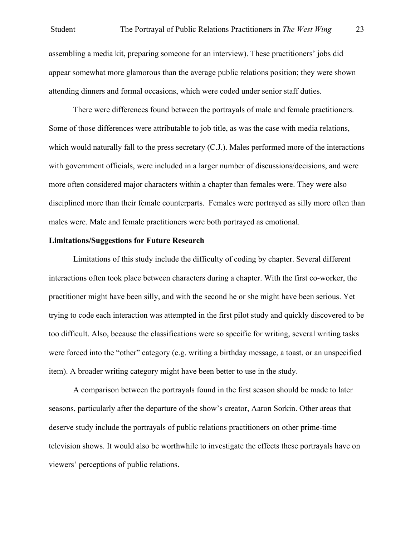### Student The Portrayal of Public Relations Practitioners in *The West Wing* 23

assembling a media kit, preparing someone for an interview). These practitioners' jobs did appear somewhat more glamorous than the average public relations position; they were shown attending dinners and formal occasions, which were coded under senior staff duties.

There were differences found between the portrayals of male and female practitioners. Some of those differences were attributable to job title, as was the case with media relations, which would naturally fall to the press secretary (C.J.). Males performed more of the interactions with government officials, were included in a larger number of discussions/decisions, and were more often considered major characters within a chapter than females were. They were also disciplined more than their female counterparts. Females were portrayed as silly more often than males were. Male and female practitioners were both portrayed as emotional.

# **Limitations/Suggestions for Future Research**

Limitations of this study include the difficulty of coding by chapter. Several different interactions often took place between characters during a chapter. With the first co-worker, the practitioner might have been silly, and with the second he or she might have been serious. Yet trying to code each interaction was attempted in the first pilot study and quickly discovered to be too difficult. Also, because the classifications were so specific for writing, several writing tasks were forced into the "other" category (e.g. writing a birthday message, a toast, or an unspecified item). A broader writing category might have been better to use in the study.

A comparison between the portrayals found in the first season should be made to later seasons, particularly after the departure of the show's creator, Aaron Sorkin. Other areas that deserve study include the portrayals of public relations practitioners on other prime-time television shows. It would also be worthwhile to investigate the effects these portrayals have on viewers' perceptions of public relations.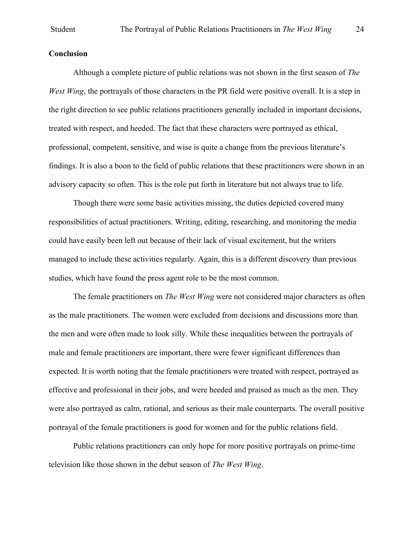### **Conclusion**

Although a complete picture of public relations was not shown in the first season of *The West Wing*, the portravals of those characters in the PR field were positive overall. It is a step in the right direction to see public relations practitioners generally included in important decisions, treated with respect, and heeded. The fact that these characters were portrayed as ethical, professional, competent, sensitive, and wise is quite a change from the previous literature's findings. It is also a boon to the field of public relations that these practitioners were shown in an advisory capacity so often. This is the role put forth in literature but not always true to life.

Though there were some basic activities missing, the duties depicted covered many responsibilities of actual practitioners. Writing, editing, researching, and monitoring the media could have easily been left out because of their lack of visual excitement, but the writers managed to include these activities regularly. Again, this is a different discovery than previous studies, which have found the press agent role to be the most common.

The female practitioners on *The West Wing* were not considered major characters as often as the male practitioners. The women were excluded from decisions and discussions more than the men and were often made to look silly. While these inequalities between the portrayals of male and female practitioners are important, there were fewer significant differences than expected. It is worth noting that the female practitioners were treated with respect, portrayed as effective and professional in their jobs, and were heeded and praised as much as the men. They were also portrayed as calm, rational, and serious as their male counterparts. The overall positive portrayal of the female practitioners is good for women and for the public relations field.

Public relations practitioners can only hope for more positive portrayals on prime-time television like those shown in the debut season of *The West Wing*.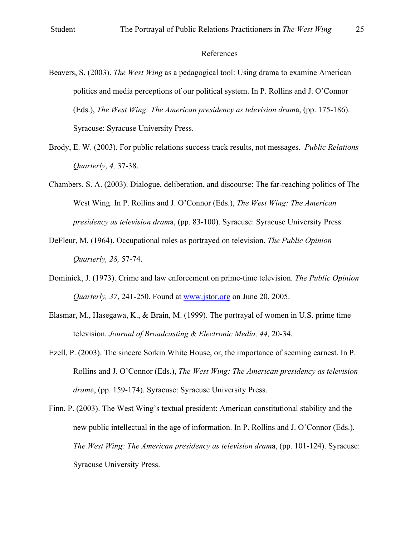### References

- Beavers, S. (2003). *The West Wing* as a pedagogical tool: Using drama to examine American politics and media perceptions of our political system. In P. Rollins and J. O'Connor (Eds.), *The West Wing: The American presidency as television dram*a, (pp. 175-186). Syracuse: Syracuse University Press.
- Brody, E. W. (2003). For public relations success track results, not messages. *Public Relations Quarterly*, *4,* 37-38.
- Chambers, S. A. (2003). Dialogue, deliberation, and discourse: The far-reaching politics of The West Wing. In P. Rollins and J. O'Connor (Eds.), *The West Wing: The American presidency as television dram*a, (pp. 83-100). Syracuse: Syracuse University Press.
- DeFleur, M. (1964). Occupational roles as portrayed on television. *The Public Opinion Quarterly, 28,* 57-74.
- Dominick, J. (1973). Crime and law enforcement on prime-time television. *The Public Opinion Quarterly, 37*, 241-250. Found at www.jstor.org on June 20, 2005.
- Elasmar, M., Hasegawa, K., & Brain, M. (1999). The portrayal of women in U.S. prime time television. *Journal of Broadcasting & Electronic Media, 44,* 20-34.
- Ezell, P. (2003). The sincere Sorkin White House, or, the importance of seeming earnest. In P. Rollins and J. O'Connor (Eds.), *The West Wing: The American presidency as television dram*a, (pp. 159-174). Syracuse: Syracuse University Press.
- Finn, P. (2003). The West Wing's textual president: American constitutional stability and the new public intellectual in the age of information. In P. Rollins and J. O'Connor (Eds.), *The West Wing: The American presidency as television dram*a, (pp. 101-124). Syracuse: Syracuse University Press.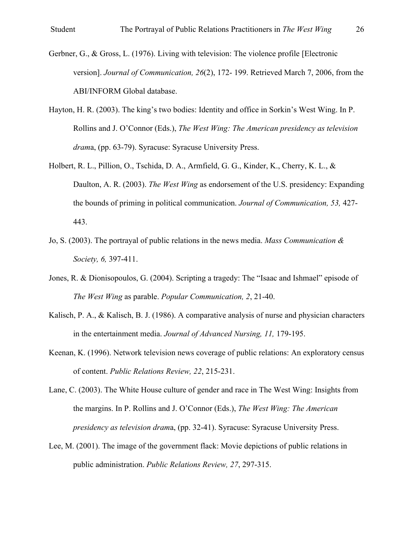- Gerbner, G., & Gross, L. (1976). Living with television: The violence profile [Electronic version]. *Journal of Communication, 26*(2), 172- 199. Retrieved March 7, 2006, from the ABI/INFORM Global database.
- Hayton, H. R. (2003). The king's two bodies: Identity and office in Sorkin's West Wing. In P. Rollins and J. O'Connor (Eds.), *The West Wing: The American presidency as television dram*a, (pp. 63-79). Syracuse: Syracuse University Press.
- Holbert, R. L., Pillion, O., Tschida, D. A., Armfield, G. G., Kinder, K., Cherry, K. L., & Daulton, A. R. (2003). *The West Wing* as endorsement of the U.S. presidency: Expanding the bounds of priming in political communication. *Journal of Communication, 53,* 427- 443.
- Jo, S. (2003). The portrayal of public relations in the news media. *Mass Communication & Society, 6,* 397-411.
- Jones, R. & Dionisopoulos, G. (2004). Scripting a tragedy: The "Isaac and Ishmael" episode of *The West Wing* as parable. *Popular Communication, 2*, 21-40.
- Kalisch, P. A., & Kalisch, B. J. (1986). A comparative analysis of nurse and physician characters in the entertainment media. *Journal of Advanced Nursing, 11,* 179-195.
- Keenan, K. (1996). Network television news coverage of public relations: An exploratory census of content. *Public Relations Review, 22*, 215-231.

Lane, C. (2003). The White House culture of gender and race in The West Wing: Insights from the margins. In P. Rollins and J. O'Connor (Eds.), *The West Wing: The American presidency as television dram*a, (pp. 32-41). Syracuse: Syracuse University Press.

Lee, M. (2001). The image of the government flack: Movie depictions of public relations in public administration. *Public Relations Review, 27*, 297-315.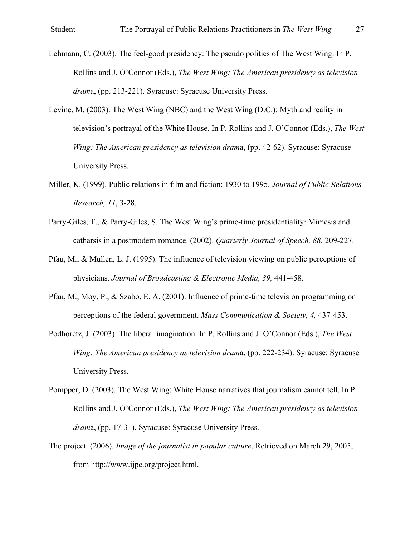- Lehmann, C. (2003). The feel-good presidency: The pseudo politics of The West Wing. In P. Rollins and J. O'Connor (Eds.), *The West Wing: The American presidency as television dram*a, (pp. 213-221). Syracuse: Syracuse University Press.
- Levine, M. (2003). The West Wing (NBC) and the West Wing (D.C.): Myth and reality in television's portrayal of the White House. In P. Rollins and J. O'Connor (Eds.), *The West Wing: The American presidency as television dram*a, (pp. 42-62). Syracuse: Syracuse University Press.
- Miller, K. (1999). Public relations in film and fiction: 1930 to 1995. *Journal of Public Relations Research, 11*, 3-28.
- Parry-Giles, T., & Parry-Giles, S. The West Wing's prime-time presidentiality: Mimesis and catharsis in a postmodern romance. (2002). *Quarterly Journal of Speech, 88*, 209-227.
- Pfau, M., & Mullen, L. J. (1995). The influence of television viewing on public perceptions of physicians. *Journal of Broadcasting & Electronic Media, 39,* 441-458.
- Pfau, M., Moy, P., & Szabo, E. A. (2001). Influence of prime-time television programming on perceptions of the federal government. *Mass Communication & Society, 4,* 437-453.
- Podhoretz, J. (2003). The liberal imagination. In P. Rollins and J. O'Connor (Eds.), *The West Wing: The American presidency as television dram*a, (pp. 222-234). Syracuse: Syracuse University Press.
- Pompper, D. (2003). The West Wing: White House narratives that journalism cannot tell. In P. Rollins and J. O'Connor (Eds.), *The West Wing: The American presidency as television dram*a, (pp. 17-31). Syracuse: Syracuse University Press.
- The project. (2006). *Image of the journalist in popular culture*. Retrieved on March 29, 2005, from http://www.ijpc.org/project.html.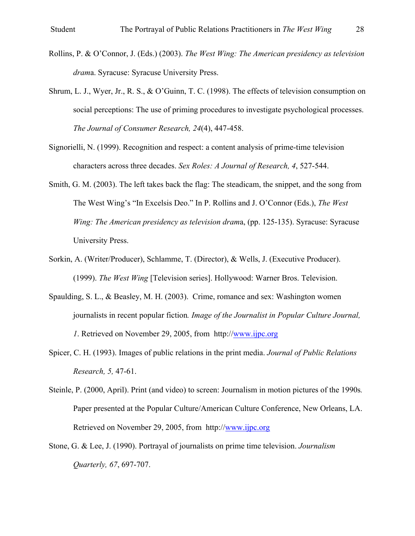- Rollins, P. & O'Connor, J. (Eds.) (2003). *The West Wing: The American presidency as television dram*a. Syracuse: Syracuse University Press.
- Shrum, L. J., Wyer, Jr., R. S., & O'Guinn, T. C. (1998). The effects of television consumption on social perceptions: The use of priming procedures to investigate psychological processes. *The Journal of Consumer Research, 24*(4), 447-458.
- Signorielli, N. (1999). Recognition and respect: a content analysis of prime-time television characters across three decades. *Sex Roles: A Journal of Research, 4*, 527-544.
- Smith, G. M. (2003). The left takes back the flag: The steadicam, the snippet, and the song from The West Wing's "In Excelsis Deo." In P. Rollins and J. O'Connor (Eds.), *The West Wing: The American presidency as television dram*a, (pp. 125-135). Syracuse: Syracuse University Press.
- Sorkin, A. (Writer/Producer), Schlamme, T. (Director), & Wells, J. (Executive Producer). (1999). *The West Wing* [Television series]. Hollywood: Warner Bros. Television.
- Spaulding, S. L., & Beasley, M. H. (2003). Crime, romance and sex: Washington women journalists in recent popular fiction*. Image of the Journalist in Popular Culture Journal, 1*. Retrieved on November 29, 2005, from http://www.ijpc.org
- Spicer, C. H. (1993). Images of public relations in the print media. *Journal of Public Relations Research, 5,* 47-61.
- Steinle, P. (2000, April). Print (and video) to screen: Journalism in motion pictures of the 1990s*.*  Paper presented at the Popular Culture/American Culture Conference, New Orleans, LA. Retrieved on November 29, 2005, from http://www.ijpc.org
- Stone, G. & Lee, J. (1990). Portrayal of journalists on prime time television. *Journalism Quarterly, 67*, 697-707.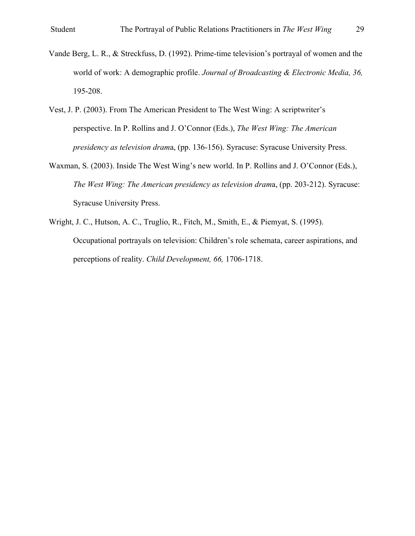- Vande Berg, L. R., & Streckfuss, D. (1992). Prime-time television's portrayal of women and the world of work: A demographic profile. *Journal of Broadcasting & Electronic Media, 36,* 195-208.
- Vest, J. P. (2003). From The American President to The West Wing: A scriptwriter's perspective. In P. Rollins and J. O'Connor (Eds.), *The West Wing: The American presidency as television dram*a, (pp. 136-156). Syracuse: Syracuse University Press.
- Waxman, S. (2003). Inside The West Wing's new world. In P. Rollins and J. O'Connor (Eds.), *The West Wing: The American presidency as television dram*a, (pp. 203-212). Syracuse: Syracuse University Press.
- Wright, J. C., Hutson, A. C., Truglio, R., Fitch, M., Smith, E., & Piemyat, S. (1995). Occupational portrayals on television: Children's role schemata, career aspirations, and perceptions of reality. *Child Development, 66,* 1706-1718.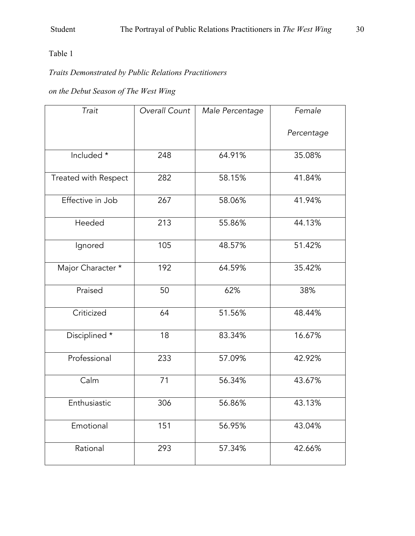# Table 1

# *Traits Demonstrated by Public Relations Practitioners*

# *on the Debut Season of The West Wing*

| Trait                | Overall Count | Male Percentage | Female     |
|----------------------|---------------|-----------------|------------|
|                      |               |                 | Percentage |
| Included *           | 248           | 64.91%          | 35.08%     |
| Treated with Respect | 282           | 58.15%          | 41.84%     |
| Effective in Job     | 267           | 58.06%          | 41.94%     |
| Heeded               | 213           | 55.86%          | 44.13%     |
| Ignored              | 105           | 48.57%          | 51.42%     |
| Major Character *    | 192           | 64.59%          | 35.42%     |
| Praised              | 50            | 62%             | 38%        |
| Criticized           | 64            | 51.56%          | 48.44%     |
| Disciplined *        | 18            | 83.34%          | 16.67%     |
| Professional         | 233           | 57.09%          | 42.92%     |
| Calm                 | 71            | 56.34%          | 43.67%     |
| Enthusiastic         | 306           | 56.86%          | 43.13%     |
| Emotional            | 151           | 56.95%          | 43.04%     |
| Rational             | 293           | 57.34%          | 42.66%     |